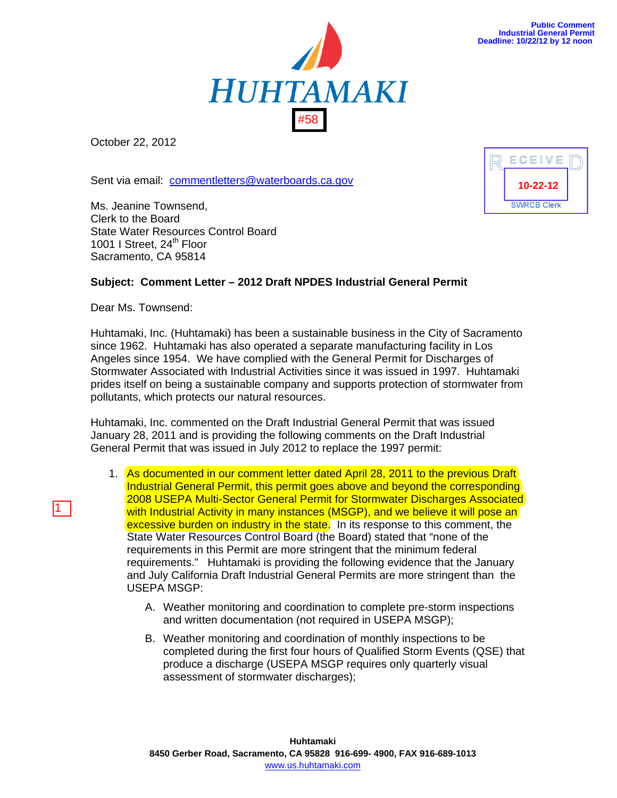

**10-22-12**

**SWRCB Clerk** 

ECEIVE



October 22, 2012

Sent via email: commentletters@waterboards.ca.gov

Ms. Jeanine Townsend, Clerk to the Board State Water Resources Control Board 1001 I Street, 24<sup>th</sup> Floor Sacramento, CA 95814

## **Subject: Comment Letter – 2012 Draft NPDES Industrial General Permit**

Dear Ms. Townsend:

1

Huhtamaki, Inc. (Huhtamaki) has been a sustainable business in the City of Sacramento since 1962. Huhtamaki has also operated a separate manufacturing facility in Los Angeles since 1954. We have complied with the General Permit for Discharges of Stormwater Associated with Industrial Activities since it was issued in 1997. Huhtamaki prides itself on being a sustainable company and supports protection of stormwater from pollutants, which protects our natural resources.

Huhtamaki, Inc. commented on the Draft Industrial General Permit that was issued January 28, 2011 and is providing the following comments on the Draft Industrial General Permit that was issued in July 2012 to replace the 1997 permit:

- 1. As documented in our comment letter dated April 28, 2011 to the previous Draft Industrial General Permit, this permit goes above and beyond the corresponding 2008 USEPA Multi-Sector General Permit for Stormwater Discharges Associated with Industrial Activity in many instances (MSGP), and we believe it will pose an excessive burden on industry in the state. In its response to this comment, the State Water Resources Control Board (the Board) stated that "none of the requirements in this Permit are more stringent that the minimum federal requirements." Huhtamaki is providing the following evidence that the January and July California Draft Industrial General Permits are more stringent than the USEPA MSGP:
	- A. Weather monitoring and coordination to complete pre-storm inspections and written documentation (not required in USEPA MSGP);
	- B. Weather monitoring and coordination of monthly inspections to be completed during the first four hours of Qualified Storm Events (QSE) that produce a discharge (USEPA MSGP requires only quarterly visual assessment of stormwater discharges);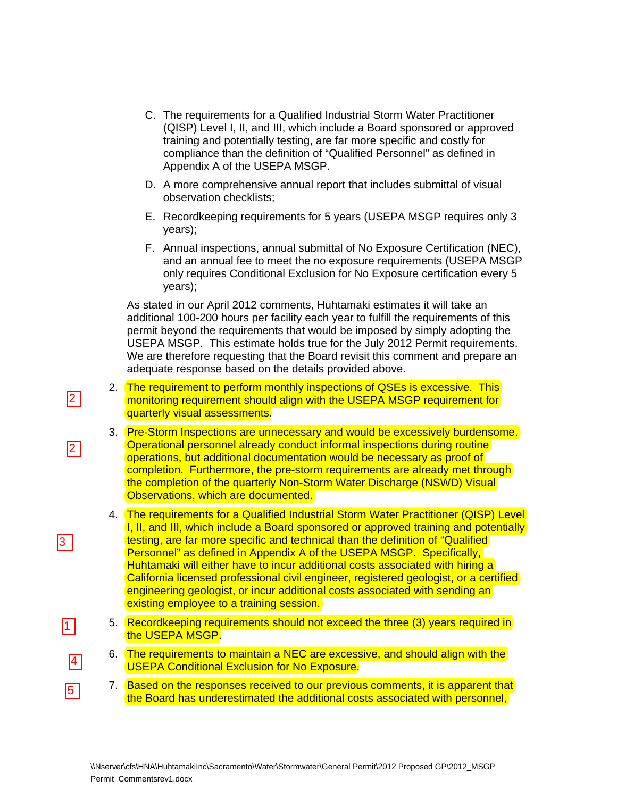- C. The requirements for a Qualified Industrial Storm Water Practitioner (QISP) Level I, II, and III, which include a Board sponsored or approved training and potentially testing, are far more specific and costly for compliance than the definition of "Qualified Personnel" as defined in Appendix A of the USEPA MSGP.
- D. A more comprehensive annual report that includes submittal of visual observation checklists;
- E. Recordkeeping requirements for 5 years (USEPA MSGP requires only 3 years);
- F. Annual inspections, annual submittal of No Exposure Certification (NEC), and an annual fee to meet the no exposure requirements (USEPA MSGP only requires Conditional Exclusion for No Exposure certification every 5 years);

As stated in our April 2012 comments, Huhtamaki estimates it will take an additional 100-200 hours per facility each year to fulfill the requirements of this permit beyond the requirements that would be imposed by simply adopting the USEPA MSGP. This estimate holds true for the July 2012 Permit requirements. We are therefore requesting that the Board revisit this comment and prepare an adequate response based on the details provided above.

2. The requirement to perform monthly inspections of QSEs is excessive. This monitoring requirement should align with the USEPA MSGP requirement for quarterly visual assessments.

 $\boxed{2}$ 

2

3

11 I

4

l5 I

- 3. Pre-Storm Inspections are unnecessary and would be excessively burdensome. Operational personnel already conduct informal inspections during routine operations, but additional documentation would be necessary as proof of completion. Furthermore, the pre-storm requirements are already met through the completion of the quarterly Non-Storm Water Discharge (NSWD) Visual Observations, which are documented.
- 4. The requirements for a Qualified Industrial Storm Water Practitioner (QISP) Level I, II, and III, which include a Board sponsored or approved training and potentially testing, are far more specific and technical than the definition of "Qualified Personnel" as defined in Appendix A of the USEPA MSGP. Specifically, Huhtamaki will either have to incur additional costs associated with hiring a California licensed professional civil engineer, registered geologist, or a certified engineering geologist, or incur additional costs associated with sending an existing employee to a training session.
- 5. Recordkeeping requirements should not exceed the three (3) years required in the USEPA MSGP.
- 6. The requirements to maintain a NEC are excessive, and should align with the USEPA Conditional Exclusion for No Exposure.
- 7. Based on the responses received to our previous comments, it is apparent that the Board has underestimated the additional costs associated with personnel,